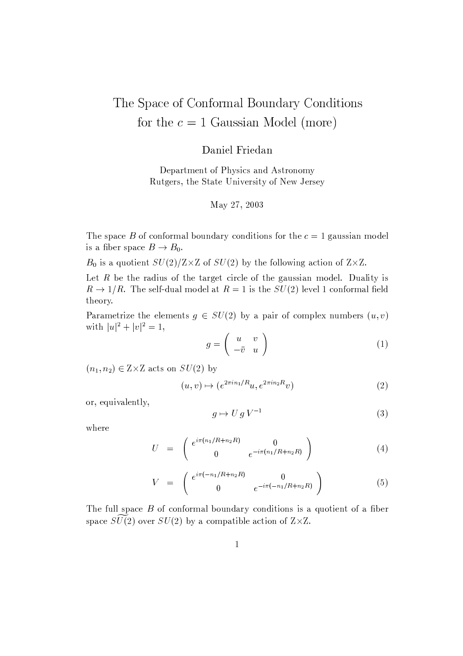# The Space of Conformal Boundary Conditions for the  $c = 1$  Gaussian Model (more)

## Daniel Friedan

Department of Physics and Astronomy Rutgers, the State University of New Jersey

#### May 27, 2003

The space B of conformal boundary conditions for the  $c = 1$  gaussian model is a fiber space  $B \to B_0$ .

 $B_0$  is a quotient  $SU(2)/Z \times Z$  of  $SU(2)$  by the following action of  $Z \times Z$ .

Let  $R$  be the radius of the target circle of the gaussian model. Duality is  $R \to 1/R$ . The self-dual model at  $R = 1$  is the  $SU(2)$  level 1 conformal field theory.

Parametrize the elements  $g \in SU(2)$  by a pair of complex numbers  $(u, v)$ with  $|u|^2 + |v|^2 = 1$ ,

$$
g = \left(\begin{array}{cc} u & v \\ -\bar{v} & u \end{array}\right) \tag{1}
$$

 $(n_1, n_2) \in Z \times Z$  acts on  $SU(2)$  by

$$
(u,v)\mapsto (e^{2\pi i n_1/R}u, e^{2\pi i n_2R}v)
$$
\n
$$
(2)
$$

or, equivalently,

$$
g \mapsto U g V^{-1} \tag{3}
$$

where

$$
U = \begin{pmatrix} e^{i\pi(n_1/R + n_2R)} & 0\\ 0 & e^{-i\pi(n_1/R + n_2R)} \end{pmatrix}
$$
 (4)

$$
V = \begin{pmatrix} e^{i\pi(-n_1/R + n_2R)} & 0\\ 0 & e^{-i\pi(-n_1/R + n_2R)} \end{pmatrix}
$$
 (5)

The full space  $B$  of conformal boundary conditions is a quotient of a fiber space  $SU(2)$  over  $SU(2)$  by a compatible action of  $Z \times Z$ .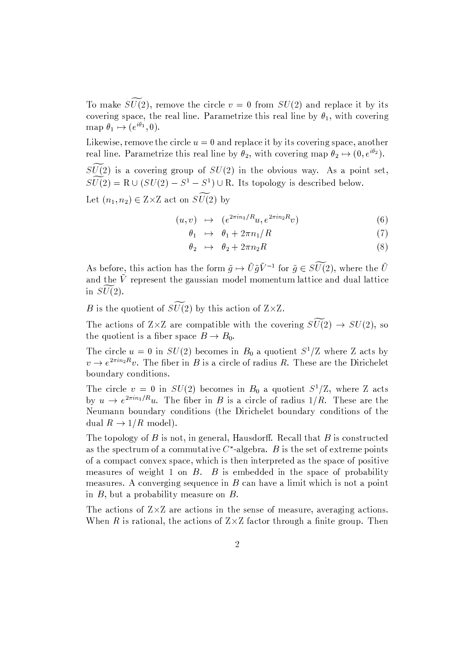To make  $\widetilde{SU(2)}$ , remove the circle  $v = 0$  from  $SU(2)$  and replace it by its covering space, the real line. Parametrize this real line by  $\theta_1$ , with covering map  $\theta_1 \mapsto (e^{i\theta_1}, 0)$ .

Likewise, remove the circle  $u = 0$  and replace it by its covering space, another real line. Parametrize this real line by  $\theta_2$ , with covering map  $\theta_2 \mapsto (0, e^{i\theta_2})$ .

 $\widetilde{SU(2)}$  is a covering group of  $SU(2)$  in the obvious way. As a point set,  $SU(2) = R \cup (SU(2) - S^1 - S^1) \cup R$ . Its topology is described below.

Let  $(n_1, n_2) \in Z \times Z$  act on  $\widetilde{SU(2)}$  by

$$
(u, v) \mapsto (e^{2\pi i n_1/R}u, e^{2\pi i n_2 R}v) \tag{6}
$$

$$
\theta_1 \quad \mapsto \quad \theta_1 + 2\pi n_1/R \tag{7}
$$

$$
\theta_2 \quad \mapsto \quad \theta_2 + 2\pi n_2 R \tag{8}
$$

As before, this action has the form  $\tilde{g} \mapsto \tilde{U} \tilde{g} \tilde{V}^{-1}$  for  $\tilde{g} \in S\tilde{U}(2)$ , where the  $\tilde{U}$ and the  $\tilde{V}$  represent the gaussian model momentum lattice and dual lattice in  $\widetilde{SU(2)}$ .

B is the quotient of  $\widetilde{SU(2)}$  by this action of  $Z\times Z$ .

The actions of  $Z\times Z$  are compatible with the covering  $S\widetilde{U}(2) \rightarrow SU(2)$ , so the quotient is a fiber space  $B \to B_0$ .

The circle  $u = 0$  in  $SU(2)$  becomes in  $B_0$  a quotient  $S^1/Z$  where Z acts by  $v \to e^{2\pi i n_2 R} v$ . The fiber in B is a circle of radius R. These are the Dirichelet boundary conditions.

The circle  $v = 0$  in  $SU(2)$  becomes in  $B_0$  a quotient  $S^1/Z$ , where Z acts by  $u \to e^{2\pi i n_1/R}u$ . The fiber in B is a circle of radius  $1/R$ . These are the Neumann boundary conditions (the Dirichelet boundary conditions of the dual  $R \to 1/R$  model).

The topology of  $B$  is not, in general, Hausdorff. Recall that  $B$  is constructed as the spectrum of a commutative  $C^*$ -algebra. B is the set of extreme points of a compact convex space, which is then interpreted as the space of positive measures of weight 1 on  $B$ .  $B$  is embedded in the space of probability measures. A converging sequence in  $B$  can have a limit which is not a point in  $B$ , but a probability measure on  $B$ .

The actions of  $Z \times Z$  are actions in the sense of measure, averaging actions. When R is rational, the actions of  $Z\times Z$  factor through a finite group. Then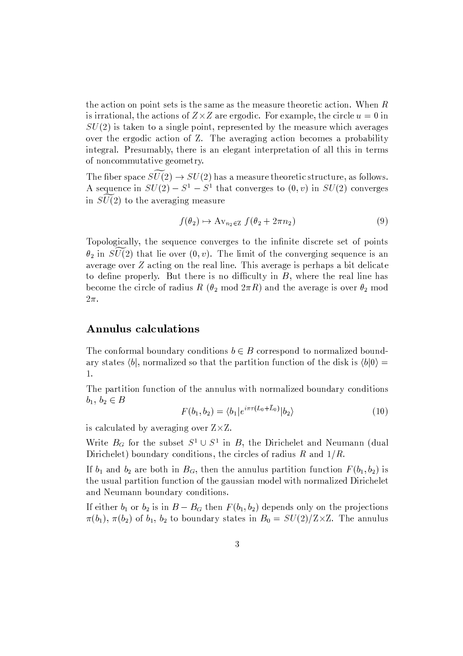the action on point sets is the same as the measure theoretic action. When  $R$ is irrational, the actions of  $Z\times Z$  are ergodic. For example, the circle  $u=0$  in  $SU(2)$  is taken to a single point, represented by the measure which averages over the ergodic action of Z. The averaging action becomes a probability integral. Presumably, there is an elegant interpretation of all this in terms of noncommutative geometry.

The fiber space  $\widetilde{SU(2)} \rightarrow SU(2)$  has a measure theoretic structure, as follows. A sequence in  $SU(2) - S^1 - S^1$  that converges to  $(0, v)$  in  $SU(2)$  converges in  $SU(2)$  to the averaging measure

$$
f(\theta_2) \mapsto \operatorname{Av}_{n_2 \in \mathbb{Z}} f(\theta_2 + 2\pi n_2) \tag{9}
$$

Topologically, the sequence converges to the infinite discrete set of points  $\theta_2$  in  $SU(2)$  that lie over  $(0, v)$ . The limit of the converging sequence is an average over  $Z$  acting on the real line. This average is perhaps a bit delicate to define properly. But there is no difficulty in  $B$ , where the real line has become the circle of radius R ( $\theta_2$  mod  $2\pi R$ ) and the average is over  $\theta_2$  mod  $2\pi$ .

## **Annulus calculations**

The conformal boundary conditions  $b \in B$  correspond to normalized boundary states  $\langle b|$ , normalized so that the partition function of the disk is  $\langle b|0\rangle =$ 1.

The partition function of the annulus with normalized boundary conditions  $b_1, b_2 \in B$ 

$$
F(b_1, b_2) = \langle b_1 | e^{i\pi\tau (L_0 + L_0)} | b_2 \rangle \tag{10}
$$

is calculated by averaging over  $Z \times Z$ .

Write  $B_G$  for the subset  $S^1 \cup S^1$  in B, the Dirichelet and Neumann (dual Dirichelet) boundary conditions, the circles of radius  $R$  and  $1/R$ .

If  $b_1$  and  $b_2$  are both in  $B_G$ , then the annulus partition function  $F(b_1, b_2)$  is the usual partition function of the gaussian model with normalized Dirichelet and Neumann boundary conditions.

If either  $b_1$  or  $b_2$  is in  $B - B_G$  then  $F(b_1, b_2)$  depends only on the projections  $\pi(b_1)$ ,  $\pi(b_2)$  of  $b_1$ ,  $b_2$  to boundary states in  $B_0 = SU(2)/Z \times Z$ . The annulus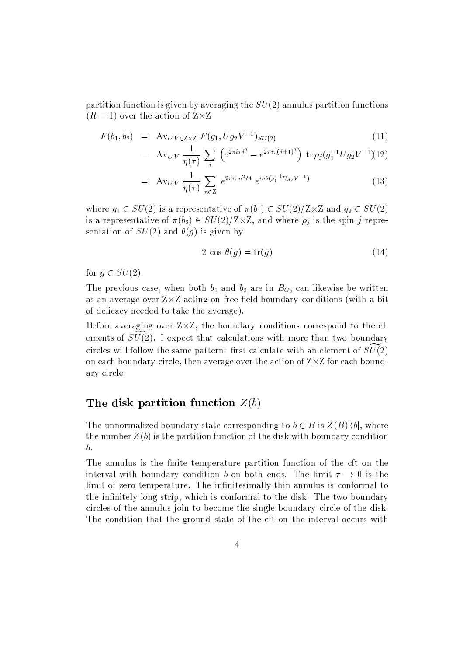partition function is given by averaging the  $SU(2)$  annulus partition functions  $(R = 1)$  over the action of  $Z \times Z$ 

$$
F(b_1, b_2) = \text{Av}_{U, V \in Z \times Z} F(g_1, Ug_2 V^{-1})_{SU(2)} \tag{11}
$$

$$
= \text{Av}_{U,V} \frac{1}{\eta(\tau)} \sum_{j} \left( e^{2\pi i \tau j^2} - e^{2\pi i \tau (j+1)^2} \right) \, \text{tr} \, \rho_j(g_1^{-1} U g_2 V^{-1})
$$

$$
= \text{Av}_{U,V} \frac{1}{\eta(\tau)} \sum_{n \in \mathbb{Z}} e^{2\pi i \tau n^2/4} e^{in\theta(g_1^{-1}Ug_2V^{-1})}
$$
(13)

where  $g_1 \in SU(2)$  is a representative of  $\pi(b_1) \in SU(2)/\mathbb{Z} \times \mathbb{Z}$  and  $g_2 \in SU(2)$ is a representative of  $\pi(b_2) \in SU(2)/\mathbb{Z} \times \mathbb{Z}$ , and where  $\rho_j$  is the spin j representation of  $SU(2)$  and  $\theta(g)$  is given by

$$
2 \cos \theta(g) = \text{tr}(g) \tag{14}
$$

for  $q \in SU(2)$ .

The previous case, when both  $b_1$  and  $b_2$  are in  $B_G$ , can likewise be written as an average over  $Z\times Z$  acting on free field boundary conditions (with a bit of delicacy needed to take the average).

Before averaging over  $Z \times Z$ , the boundary conditions correspond to the elements of  $SU(2)$ . I expect that calculations with more than two boundary circles will follow the same pattern: first calculate with an element of  $SU(2)$ on each boundary circle, then average over the action of  $Z \times Z$  for each boundary circle.

## The disk partition function  $Z(b)$

The unnormalized boundary state corresponding to  $b \in B$  is  $Z(B) \langle b|$ , where the number  $Z(b)$  is the partition function of the disk with boundary condition  $\boldsymbol{b}$ .

The annulus is the finite temperature partition function of the cft on the interval with boundary condition b on both ends. The limit  $\tau \to 0$  is the limit of zero temperature. The infinitesimally thin annulus is conformal to the infinitely long strip, which is conformal to the disk. The two boundary circles of the annulus join to become the single boundary circle of the disk. The condition that the ground state of the cft on the interval occurs with